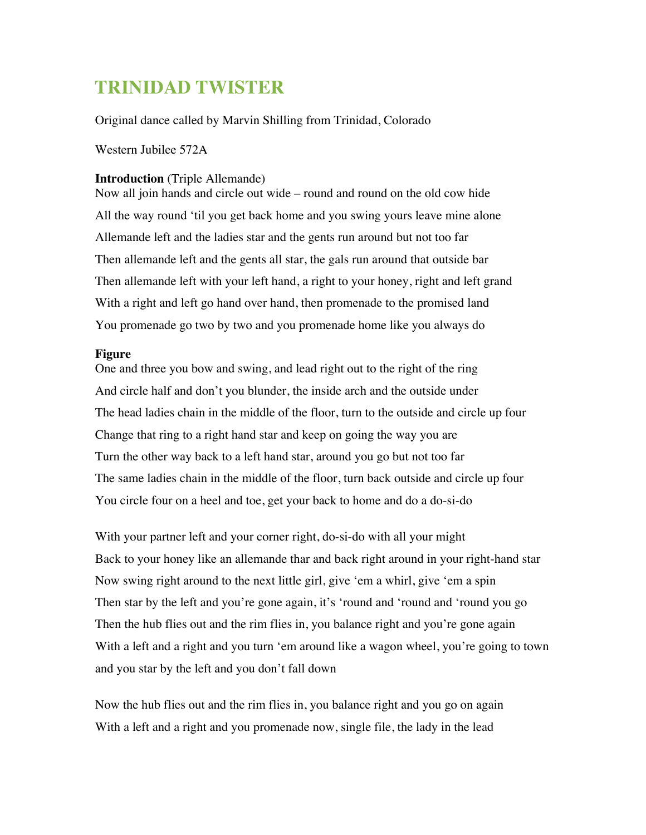## **TRINIDAD TWISTER**

Original dance called by Marvin Shilling from Trinidad, Colorado

Western Jubilee 572A

## **Introduction** (Triple Allemande)

Now all join hands and circle out wide – round and round on the old cow hide All the way round 'til you get back home and you swing yours leave mine alone Allemande left and the ladies star and the gents run around but not too far Then allemande left and the gents all star, the gals run around that outside bar Then allemande left with your left hand, a right to your honey, right and left grand With a right and left go hand over hand, then promenade to the promised land You promenade go two by two and you promenade home like you always do

## **Figure**

One and three you bow and swing, and lead right out to the right of the ring And circle half and don't you blunder, the inside arch and the outside under The head ladies chain in the middle of the floor, turn to the outside and circle up four Change that ring to a right hand star and keep on going the way you are Turn the other way back to a left hand star, around you go but not too far The same ladies chain in the middle of the floor, turn back outside and circle up four You circle four on a heel and toe, get your back to home and do a do-si-do

With your partner left and your corner right, do-si-do with all your might Back to your honey like an allemande thar and back right around in your right-hand star Now swing right around to the next little girl, give 'em a whirl, give 'em a spin Then star by the left and you're gone again, it's 'round and 'round and 'round you go Then the hub flies out and the rim flies in, you balance right and you're gone again With a left and a right and you turn 'em around like a wagon wheel, you're going to town and you star by the left and you don't fall down

Now the hub flies out and the rim flies in, you balance right and you go on again With a left and a right and you promenade now, single file, the lady in the lead